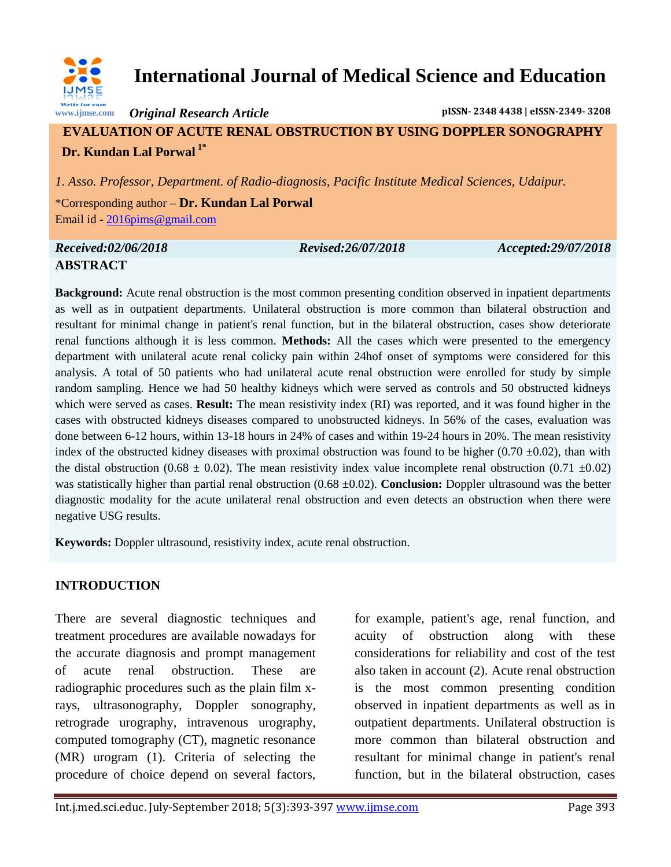

# **International Journal of Medical Science and Education**

*Original Research Article* **pISSN- 2348 4438 | eISSN-2349- 3208**

# **EVALUATION OF ACUTE RENAL OBSTRUCTION BY USING DOPPLER SONOGRAPHY Dr. Kundan Lal Porwal 1\***

*1. Asso. Professor, Department. of Radio-diagnosis, Pacific Institute Medical Sciences, Udaipur.*

\*Corresponding author – **Dr. Kundan Lal Porwal** Email id - [2016pims@gmail.com](mailto:2016pims@gmail.com)

### *Received:02/06/2018 Revised:26/07/2018 Accepted:29/07/2018* **ABSTRACT**

**Background:** Acute renal obstruction is the most common presenting condition observed in inpatient departments as well as in outpatient departments. Unilateral obstruction is more common than bilateral obstruction and resultant for minimal change in patient's renal function, but in the bilateral obstruction, cases show deteriorate renal functions although it is less common. **Methods:** All the cases which were presented to the emergency department with unilateral acute renal colicky pain within 24hof onset of symptoms were considered for this analysis. A total of 50 patients who had unilateral acute renal obstruction were enrolled for study by simple random sampling. Hence we had 50 healthy kidneys which were served as controls and 50 obstructed kidneys which were served as cases. **Result:** The mean resistivity index (RI) was reported, and it was found higher in the cases with obstructed kidneys diseases compared to unobstructed kidneys. In 56% of the cases, evaluation was done between 6-12 hours, within 13-18 hours in 24% of cases and within 19-24 hours in 20%. The mean resistivity index of the obstructed kidney diseases with proximal obstruction was found to be higher (0.70  $\pm$ 0.02), than with the distal obstruction (0.68  $\pm$  0.02). The mean resistivity index value incomplete renal obstruction (0.71  $\pm$ 0.02) was statistically higher than partial renal obstruction (0.68 ±0.02). **Conclusion:** Doppler ultrasound was the better diagnostic modality for the acute unilateral renal obstruction and even detects an obstruction when there were negative USG results.

**Keywords:** Doppler ultrasound, resistivity index, acute renal obstruction.

# **INTRODUCTION**

There are several diagnostic techniques and treatment procedures are available nowadays for the accurate diagnosis and prompt management of acute renal obstruction. These are radiographic procedures such as the plain film xrays, ultrasonography, Doppler sonography, retrograde urography, intravenous urography, computed tomography (CT), magnetic resonance (MR) urogram (1). Criteria of selecting the procedure of choice depend on several factors,

for example, patient's age, renal function, and acuity of obstruction along with these considerations for reliability and cost of the test also taken in account (2). Acute renal obstruction is the most common presenting condition observed in inpatient departments as well as in outpatient departments. Unilateral obstruction is more common than bilateral obstruction and resultant for minimal change in patient's renal function, but in the bilateral obstruction, cases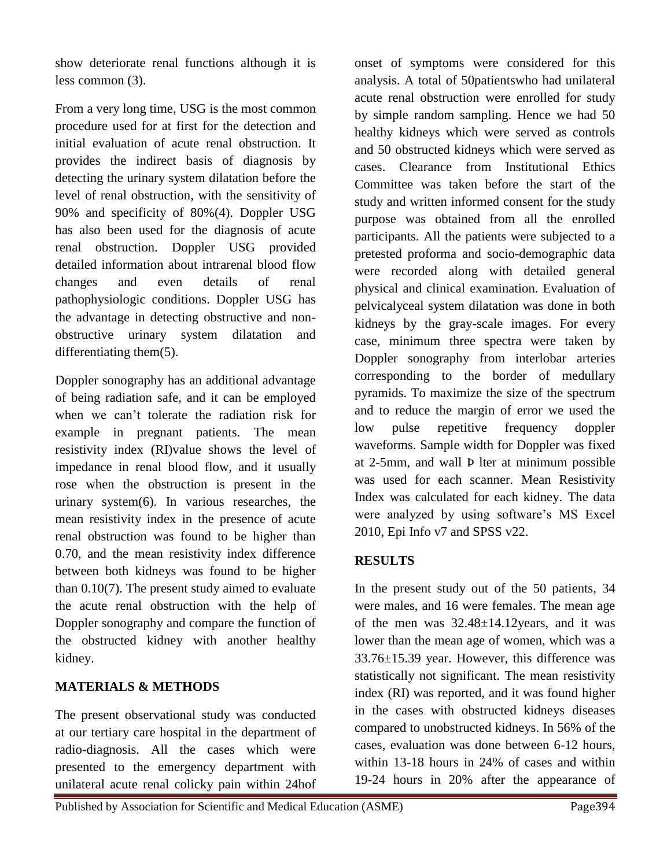show deteriorate renal functions although it is less common (3).

From a very long time, USG is the most common procedure used for at first for the detection and initial evaluation of acute renal obstruction. It provides the indirect basis of diagnosis by detecting the urinary system dilatation before the level of renal obstruction, with the sensitivity of 90% and specificity of 80%(4). Doppler USG has also been used for the diagnosis of acute renal obstruction. Doppler USG provided detailed information about intrarenal blood flow changes and even details of renal pathophysiologic conditions. Doppler USG has the advantage in detecting obstructive and nonobstructive urinary system dilatation and differentiating them(5).

Doppler sonography has an additional advantage of being radiation safe, and it can be employed when we can't tolerate the radiation risk for example in pregnant patients. The mean resistivity index (RI)value shows the level of impedance in renal blood flow, and it usually rose when the obstruction is present in the urinary system(6). In various researches, the mean resistivity index in the presence of acute renal obstruction was found to be higher than 0.70, and the mean resistivity index difference between both kidneys was found to be higher than 0.10(7). The present study aimed to evaluate the acute renal obstruction with the help of Doppler sonography and compare the function of the obstructed kidney with another healthy kidney.

#### **MATERIALS & METHODS**

The present observational study was conducted at our tertiary care hospital in the department of radio-diagnosis. All the cases which were presented to the emergency department with unilateral acute renal colicky pain within 24hof

onset of symptoms were considered for this analysis. A total of 50patientswho had unilateral acute renal obstruction were enrolled for study by simple random sampling. Hence we had 50 healthy kidneys which were served as controls and 50 obstructed kidneys which were served as cases. Clearance from Institutional Ethics Committee was taken before the start of the study and written informed consent for the study purpose was obtained from all the enrolled participants. All the patients were subjected to a pretested proforma and socio-demographic data were recorded along with detailed general physical and clinical examination. Evaluation of pelvicalyceal system dilatation was done in both kidneys by the gray-scale images. For every case, minimum three spectra were taken by Doppler sonography from interlobar arteries corresponding to the border of medullary pyramids. To maximize the size of the spectrum and to reduce the margin of error we used the low pulse repetitive frequency doppler waveforms. Sample width for Doppler was fixed at 2-5mm, and wall Þ lter at minimum possible was used for each scanner. Mean Resistivity Index was calculated for each kidney. The data were analyzed by using software's MS Excel 2010, Epi Info v7 and SPSS v22.

#### **RESULTS**

In the present study out of the 50 patients, 34 were males, and 16 were females. The mean age of the men was 32.48±14.12years, and it was lower than the mean age of women, which was a 33.76±15.39 year. However, this difference was statistically not significant. The mean resistivity index (RI) was reported, and it was found higher in the cases with obstructed kidneys diseases compared to unobstructed kidneys. In 56% of the cases, evaluation was done between 6-12 hours, within 13-18 hours in 24% of cases and within 19-24 hours in 20% after the appearance of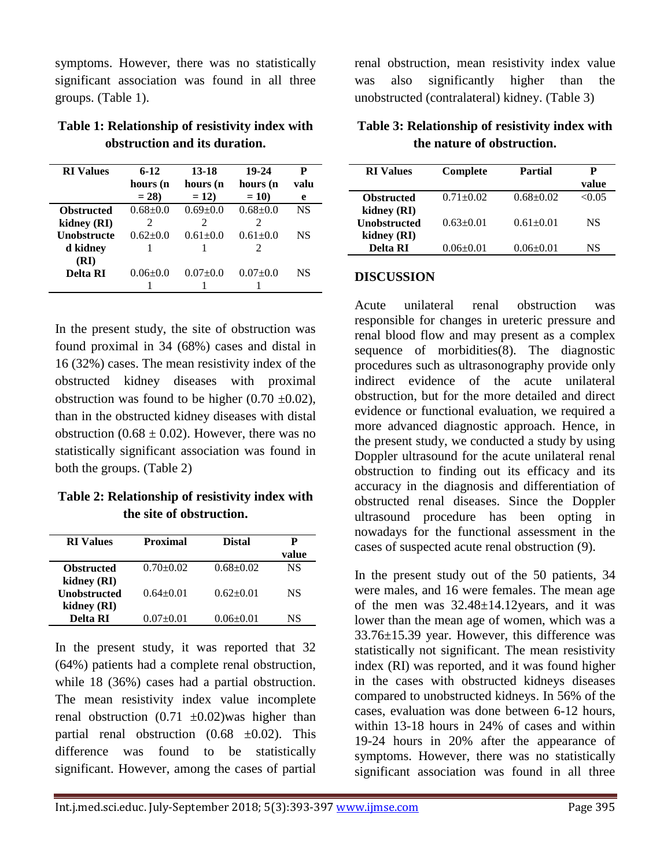symptoms. However, there was no statistically significant association was found in all three groups. (Table 1).

| <b>RI</b> Values   | $6 - 12$           | 13-18              | 19-24                       | P         |
|--------------------|--------------------|--------------------|-----------------------------|-----------|
|                    | hours (n<br>$= 28$ | hours (n<br>$= 12$ | hours (n<br>$= 10$          | valu<br>e |
| <b>Obstructed</b>  | $0.68 \pm 0.0$     | $0.69 + 0.0$       | $0.68 + 0.0$                | NS        |
| kidney (RI)        | 2                  | 2                  | 2                           |           |
| <b>Unobstructe</b> | $0.62 \pm 0.0$     | $0.61 \pm 0.0$     | $0.61 + 0.0$                | NS        |
| d kidney           |                    |                    | $\mathcal{D}_{\mathcal{L}}$ |           |
| (RI)               |                    |                    |                             |           |
| <b>Delta RI</b>    | $0.06 \pm 0.0$     | $0.07+0.0$         | $0.07+0.0$                  | NS        |
|                    |                    |                    |                             |           |

**Table 1: Relationship of resistivity index with obstruction and its duration.**

In the present study, the site of obstruction was found proximal in 34 (68%) cases and distal in 16 (32%) cases. The mean resistivity index of the obstructed kidney diseases with proximal obstruction was found to be higher  $(0.70 \pm 0.02)$ , than in the obstructed kidney diseases with distal obstruction (0.68  $\pm$  0.02). However, there was no statistically significant association was found in both the groups. (Table 2)

**Table 2: Relationship of resistivity index with the site of obstruction.**

| <b>RI</b> Values    | Proximal      | <b>Distal</b>   | Р<br>value |
|---------------------|---------------|-----------------|------------|
| <b>Obstructed</b>   | $0.70 + 0.02$ | $0.68 + 0.02$   | NS         |
| kidney (RI)         |               |                 |            |
| <b>Unobstructed</b> | $0.64 + 0.01$ | $0.62+0.01$     | NS.        |
| kidney (RI)         |               |                 |            |
| <b>Delta RI</b>     | $0.07+0.01$   | $0.06 \pm 0.01$ | NS         |

In the present study, it was reported that 32 (64%) patients had a complete renal obstruction, while 18 (36%) cases had a partial obstruction. The mean resistivity index value incomplete renal obstruction  $(0.71 \pm 0.02)$  was higher than partial renal obstruction  $(0.68 \pm 0.02)$ . This difference was found to be statistically significant. However, among the cases of partial renal obstruction, mean resistivity index value was also significantly higher than the unobstructed (contralateral) kidney. (Table 3)

**Table 3: Relationship of resistivity index with the nature of obstruction.**

| <b>RI</b> Values    | Complete        | Partial         | Р     |
|---------------------|-----------------|-----------------|-------|
|                     |                 |                 | value |
| <b>Obstructed</b>   | $0.71 \pm 0.02$ | $0.68 + 0.02$   | <0.05 |
| kidney (RI)         |                 |                 |       |
| <b>Unobstructed</b> | $0.63 \pm 0.01$ | $0.61 \pm 0.01$ | NS    |
| kidney (RI)         |                 |                 |       |
| <b>Delta RI</b>     | $0.06 \pm 0.01$ | $0.06 \pm 0.01$ | NS    |

#### **DISCUSSION**

Acute unilateral renal obstruction was responsible for changes in ureteric pressure and renal blood flow and may present as a complex sequence of morbidities(8). The diagnostic procedures such as ultrasonography provide only indirect evidence of the acute unilateral obstruction, but for the more detailed and direct evidence or functional evaluation, we required a more advanced diagnostic approach. Hence, in the present study, we conducted a study by using Doppler ultrasound for the acute unilateral renal obstruction to finding out its efficacy and its accuracy in the diagnosis and differentiation of obstructed renal diseases. Since the Doppler ultrasound procedure has been opting in nowadays for the functional assessment in the cases of suspected acute renal obstruction (9).

In the present study out of the 50 patients, 34 were males, and 16 were females. The mean age of the men was  $32.48 \pm 14.12$  years, and it was lower than the mean age of women, which was a 33.76±15.39 year. However, this difference was statistically not significant. The mean resistivity index (RI) was reported, and it was found higher in the cases with obstructed kidneys diseases compared to unobstructed kidneys. In 56% of the cases, evaluation was done between 6-12 hours, within 13-18 hours in 24% of cases and within 19-24 hours in 20% after the appearance of symptoms. However, there was no statistically significant association was found in all three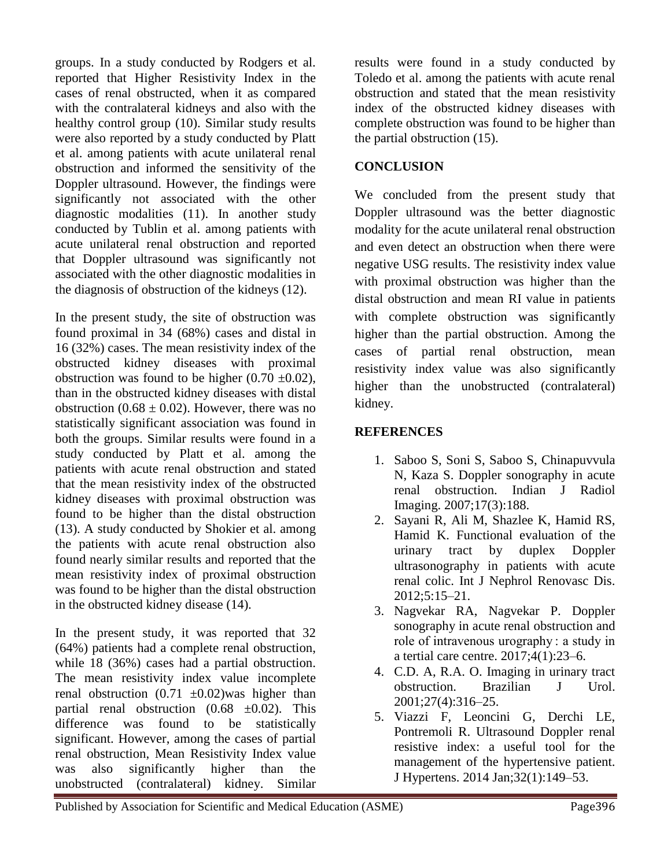groups. In a study conducted by Rodgers et al. reported that Higher Resistivity Index in the cases of renal obstructed, when it as compared with the contralateral kidneys and also with the healthy control group (10). Similar study results were also reported by a study conducted by Platt et al. among patients with acute unilateral renal obstruction and informed the sensitivity of the Doppler ultrasound. However, the findings were significantly not associated with the other diagnostic modalities (11). In another study conducted by Tublin et al. among patients with acute unilateral renal obstruction and reported that Doppler ultrasound was significantly not associated with the other diagnostic modalities in the diagnosis of obstruction of the kidneys (12).

In the present study, the site of obstruction was found proximal in 34 (68%) cases and distal in 16 (32%) cases. The mean resistivity index of the obstructed kidney diseases with proximal obstruction was found to be higher  $(0.70 \pm 0.02)$ , than in the obstructed kidney diseases with distal obstruction (0.68  $\pm$  0.02). However, there was no statistically significant association was found in both the groups. Similar results were found in a study conducted by Platt et al. among the patients with acute renal obstruction and stated that the mean resistivity index of the obstructed kidney diseases with proximal obstruction was found to be higher than the distal obstruction (13). A study conducted by Shokier et al. among the patients with acute renal obstruction also found nearly similar results and reported that the mean resistivity index of proximal obstruction was found to be higher than the distal obstruction in the obstructed kidney disease (14).

In the present study, it was reported that 32 (64%) patients had a complete renal obstruction, while 18 (36%) cases had a partial obstruction. The mean resistivity index value incomplete renal obstruction  $(0.71 \pm 0.02)$  was higher than partial renal obstruction  $(0.68 \pm 0.02)$ . This difference was found to be statistically significant. However, among the cases of partial renal obstruction, Mean Resistivity Index value was also significantly higher than the unobstructed (contralateral) kidney. Similar

results were found in a study conducted by Toledo et al. among the patients with acute renal obstruction and stated that the mean resistivity index of the obstructed kidney diseases with complete obstruction was found to be higher than the partial obstruction (15).

#### **CONCLUSION**

We concluded from the present study that Doppler ultrasound was the better diagnostic modality for the acute unilateral renal obstruction and even detect an obstruction when there were negative USG results. The resistivity index value with proximal obstruction was higher than the distal obstruction and mean RI value in patients with complete obstruction was significantly higher than the partial obstruction. Among the cases of partial renal obstruction, mean resistivity index value was also significantly higher than the unobstructed (contralateral) kidney.

## **REFERENCES**

- 1. Saboo S, Soni S, Saboo S, Chinapuvvula N, Kaza S. Doppler sonography in acute renal obstruction. Indian J Radiol Imaging. 2007;17(3):188.
- 2. Sayani R, Ali M, Shazlee K, Hamid RS, Hamid K. Functional evaluation of the urinary tract by duplex Doppler ultrasonography in patients with acute renal colic. Int J Nephrol Renovasc Dis. 2012;5:15–21.
- 3. Nagvekar RA, Nagvekar P. Doppler sonography in acute renal obstruction and role of intravenous urography : a study in a tertial care centre. 2017;4(1):23–6.
- 4. C.D. A, R.A. O. Imaging in urinary tract obstruction. Brazilian J Urol. 2001;27(4):316–25.
- 5. Viazzi F, Leoncini G, Derchi LE, Pontremoli R. Ultrasound Doppler renal resistive index: a useful tool for the management of the hypertensive patient. J Hypertens. 2014 Jan;32(1):149–53.